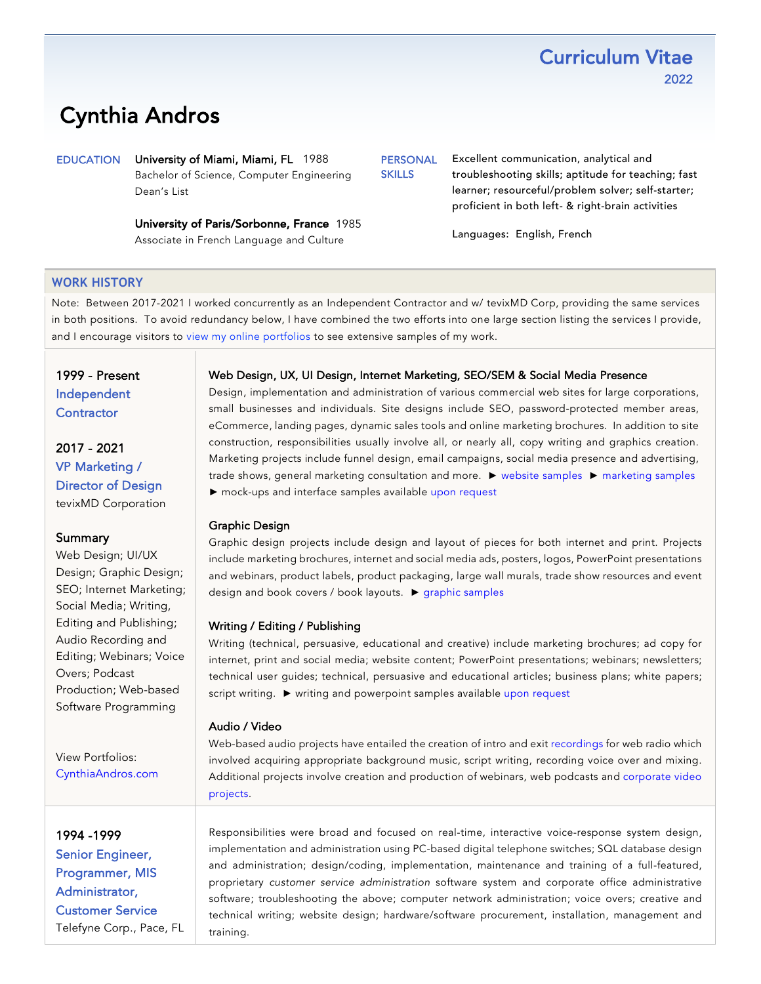# Cynthia Andros

EDUCATION University of Miami, Miami, FL 1988 Bachelor of Science, Computer Engineering Dean's List

> University of Paris/Sorbonne, France 1985 Associate in French Language and Culture

PERSONAL **SKILLS** 

Excellent communication, analytical and troubleshooting skills; aptitude for teaching; fast learner; resourceful/problem solver; self-starter; proficient in both left- & right-brain activities

**Curriculum Vitae** 

2022

Languages: English, French

### **WORK HISTORY**

Note: Between 2017-2021 I worked concurrently as an Independent Contractor and w/ tevixMD Corp, providing the same services in both positions. To avoid redundancy below, I have combined the two efforts into one large section listing the services I provide, and I encourage visitors to view my [online portfolios](https://www.cynthiaandros.com/) [to](http://www.CynthiaAndros.com) see extensive samples of my work.

1999 - Present Independent **Contractor** 

2017 - 2021 VP Marketing / Director of Design tevixMD Corporation

#### **Summary**

Web Design; UI/UX Design; Graphic Design; SEO; Internet Marketing; Social Media; Writing, Editing and Publishing; Audio Recording and Editing; Webinars; Voice Overs; Podcast Production; Web-based Software Programming

View Portfolios: [CynthiaAndros.com](https://www.cynthiaandros.com/)

1994 -1999 Senior Engineer, Programmer, MIS Administrator, Customer Service Telefyne Corp., Pace, FL

#### Web Design, UX, UI Design, Internet Marketing, SEO/SEM & Social Media Presence

Design, implementation and administration of various commercial web sites for large corporations, small businesses and individuals. Site designs include SEO, password-protected member areas, eCommerce, landing pages, dynamic sales tools and online marketing brochures. In addition to site construction, responsibilities usually involve all, or nearly all, copy writing and graphics creation. Marketing projects include funnel design, email campaigns, social media presence and advertising, trade shows, general marketing consultation and more. ► [website samples](https://www.cynthiaandros.com/portfolio-w) ► [marketing samples](https://www.cynthiaandros.com/portfolio-m) ► mock-ups and interface samples available [upon request](https://www.cynthiaandros.com/contact)

#### Graphic Design

Graphic design projects include design and layout of pieces for both internet and print. Projects include marketing brochures, internet and social media ads, posters, logos, PowerPoint presentations and webinars, product labels, product packaging, large wall murals, trade show resources and event design and book covers / book layouts. ► [graphic samples](https://www.cynthiaandros.com/portfolio-g)

#### Writing / Editing / Publishing

Writing (technical, persuasive, educational and creative) include marketing brochures; ad copy for internet, print and social media; website content; PowerPoint presentations; webinars; newsletters; technical user guides; technical, persuasive and educational articles; business plans; white papers; script writing. ► writing and powerpoint samples availabl[e upon request](https://www.cynthiaandros.com/contact)

#### Audio / Video

Web-based audio projects have entailed the creation of intro and ex[it recordings](https://www.cynthiaandros.com/av-samples) for web radio which involved acquiring appropriate background music, script writing, recording voice over and mixing. Additional projects involve creation and production of webinars, web podcasts and [corporate video](https://www.cynthiaandros.com/av-samples)  [projects.](https://www.cynthiaandros.com/av-samples)

Responsibilities were broad and focused on real-time, interactive voice-response system design, implementation and administration using PC-based digital telephone switches; SQL database design and administration; design/coding, implementation, maintenance and training of a full-featured, proprietary *customer service administration* software system and corporate office administrative software; troubleshooting the above; computer network administration; voice overs; creative and technical writing; website design; hardware/software procurement, installation, management and training.